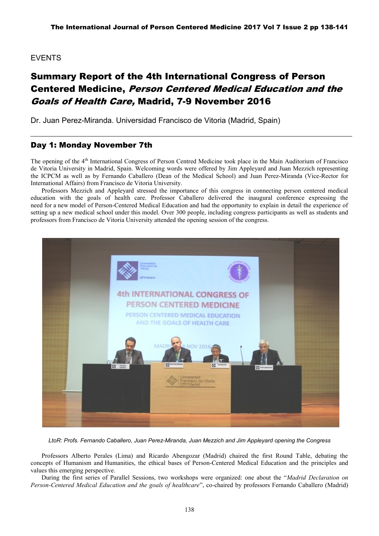#### EVENTS

# Summary Report of the 4th International Congress of Person Centered Medicine, Person Centered Medical Education and the Goals of Health Care, Madrid, 7-9 November 2016

Dr. Juan Perez-Miranda. Universidad Francisco de Vitoria (Madrid, Spain)

#### Day 1: Monday November 7th

The opening of the 4<sup>th</sup> International Congress of Person Centred Medicine took place in the Main Auditorium of Francisco de Vitoria University in Madrid, Spain. Welcoming words were offered by Jim Appleyard and Juan Mezzich representing the ICPCM as well as by Fernando Caballero (Dean of the Medical School) and Juan Perez-Miranda (Vice-Rector for International Affairs) from Francisco de Vitoria University.

Professors Mezzich and Appleyard stressed the importance of this congress in connecting person centered medical education with the goals of health care. Professor Caballero delivered the inaugural conference expressing the need for a new model of Person-Centered Medical Education and had the opportunity to explain in detail the experience of setting up a new medical school under this model. Over 300 people, including congress participants as well as students and professors from Francisco de Vitoria University attended the opening session of the congress.



*LtoR: Profs. Fernando Caballero, Juan Perez-Miranda, Juan Mezzich and Jim Appleyard opening the Congress*

Professors Alberto Perales (Lima) and Ricardo Abengozar (Madrid) chaired the first Round Table, debating the concepts of Humanism and Humanities, the ethical bases of Person-Centered Medical Education and the principles and values this emerging perspective.

During the first series of Parallel Sessions, two workshops were organized: one about the "*Madrid Declaration on Person-Centered Medical Education and the goals of healthcare*", co-chaired by professors Fernando Caballero (Madrid)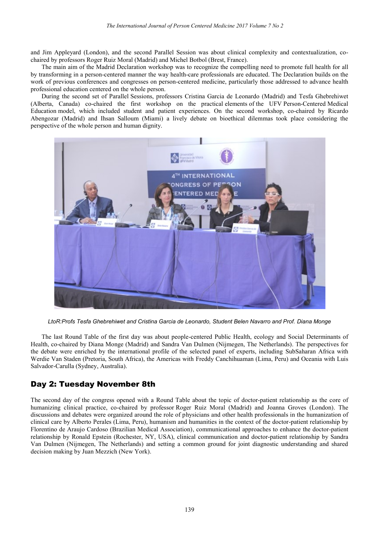and Jim Appleyard (London), and the second Parallel Session was about clinical complexity and contextualization, cochaired by professors Roger Ruiz Moral (Madrid) and Michel Botbol (Brest, France).

The main aim of the Madrid Declaration workshop was to recognize the compelling need to promote full health for all by transforming in a person-centered manner the way health-care professionals are educated. The Declaration builds on the work of previous conferences and congresses on person-centered medicine, particularly those addressed to advance health professional education centered on the whole person.

During the second set of Parallel Sessions, professors Cristina Garcia de Leonardo (Madrid) and Tesfa Ghebrehiwet (Alberta, Canada) co-chaired the first workshop on the practical elements of the UFV Person-Centered Medical Education model, which included student and patient experiences. On the second workshop, co-chaired by Ricardo Abengozar (Madrid) and Ihsan Salloum (Miami) a lively debate on bioethical dilemmas took place considering the perspective of the whole person and human dignity.



*LtoR:Profs Tesfa Ghebrehiwet and Cristina Garcia de Leonardo, Student Belen Navarro and Prof. Diana Monge*

The last Round Table of the first day was about people-centered Public Health, ecology and Social Determinants of Health, co-chaired by Diana Monge (Madrid) and Sandra Van Dulmen (Nijmegen, The Netherlands). The perspectives for the debate were enriched by the international profile of the selected panel of experts, including SubSaharan Africa with Werdie Van Staden (Pretoria, South Africa), the Americas with Freddy Canchihuaman (Lima, Peru) and Oceania with Luis Salvador-Carulla (Sydney, Australia).

### Day 2: Tuesday November 8th

The second day of the congress opened with a Round Table about the topic of doctor-patient relationship as the core of humanizing clinical practice, co-chaired by professor Roger Ruiz Moral (Madrid) and Joanna Groves (London). The discussions and debates were organized around the role of physicians and other health professionals in the humanization of clinical care by Alberto Perales (Lima, Peru), humanism and humanities in the context of the doctor-patient relationship by Florentino de Araujo Cardoso (Brazilian Medical Association), communicational approaches to enhance the doctor-patient relationship by Ronald Epstein (Rochester, NY, USA), clinical communication and doctor-patient relationship by Sandra Van Dulmen (Nijmegen, The Netherlands) and setting a common ground for joint diagnostic understanding and shared decision making by Juan Mezzich (New York).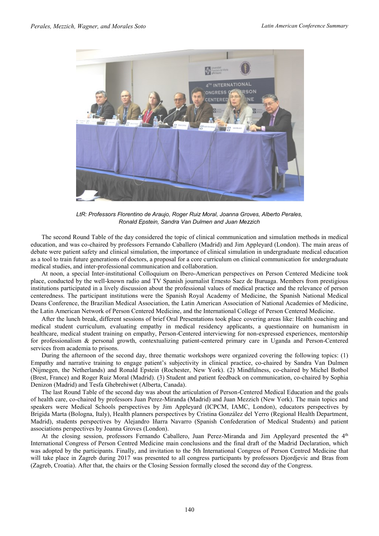

*LtR: Professors Florentino de Araujo, Roger Ruiz Moral, Joanna Groves, Alberto Perales, Ronald Epstein, Sandra Van Dulmen and Juan Mezzich*

The second Round Table of the day considered the topic of clinical communication and simulation methods in medical education, and was co-chaired by professors Fernando Caballero (Madrid) and Jim Appleyard (London). The main areas of debate were patient safety and clinical simulation, the importance of clinical simulation in undergraduate medical education as a tool to train future generations of doctors, a proposal for a core curriculum on clinical communication for undergraduate medical studies, and inter-professional communication and collaboration.

At noon, a special Inter-institutional Colloquium on Ibero-American perspectives on Person Centered Medicine took place, conducted by the well-known radio and TV Spanish journalist Ernesto Saez de Buruaga. Members from prestigious institutions participated in a lively discussion about the professional values of medical practice and the relevance of person centeredness. The participant institutions were the Spanish Royal Academy of Medicine, the Spanish National Medical Deans Conference, the Brazilian Medical Association, the Latin American Association of National Academies of Medicine, the Latin American Network of Person Centered Medicine, and the International College of Person Centered Medicine.

After the lunch break, different sessions of brief Oral Presentations took place covering areas like: Health coaching and medical student curriculum, evaluating empathy in medical residency applicants, a questionnaire on humanism in healthcare, medical student training on empathy, Person-Centered interviewing for non-expressed experiences, mentorship for professionalism & personal growth, contextualizing patient-centered primary care in Uganda and Person-Centered services from academia to prisons.

During the afternoon of the second day, three thematic workshops were organized covering the following topics: (1) Empathy and narrative training to engage patient's subjectivity in clinical practice, co-chaired by Sandra Van Dulmen (Nijmegen, the Netherlands) and Ronald Epstein (Rochester, New York). (2) Mindfulness, co-chaired by Michel Botbol (Brest, France) and Roger Ruiz Moral (Madrid). (3) Student and patient feedback on communication, co-chaired by Sophia Denizon (Madrid) and Tesfa Ghebrehiwet (Alberta, Canada).

The last Round Table of the second day was about the articulation of Person-Centered Medical Education and the goals of health care, co-chaired by professors Juan Perez-Miranda (Madrid) and Juan Mezzich (New York). The main topics and speakers were Medical Schools perspectives by Jim Appleyard (ICPCM, IAMC, London), educators perspectives by Brigida Marta (Bologna, Italy), Health planners perspectives by Cristina González del Yerro (Regional Health Department, Madrid), students perspectives by Alejandro Iñarra Navarro (Spanish Confederation of Medical Students) and patient associations perspectives by Joanna Groves (London).

At the closing session, professors Fernando Caballero, Juan Perez-Miranda and Jim Appleyard presented the 4<sup>th</sup> International Congress of Person Centred Medicine main conclusions and the final draft of the Madrid Declaration, which was adopted by the participants. Finally, and invitation to the 5th International Congress of Person Centred Medicine that will take place in Zagreb during 2017 was presented to all congress participants by professors Djordjevic and Bras from (Zagreb, Croatia). After that, the chairs or the Closing Session formally closed the second day of the Congress.